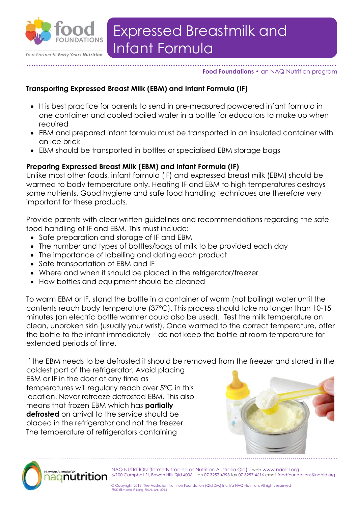

#### **………………………………………………………………………………………………………………… Food Foundations •** an NAQ Nutrition program

### **Transporting Expressed Breast Milk (EBM) and Infant Formula (IF)**

- It is best practice for parents to send in pre-measured powdered infant formula in one container and cooled boiled water in a bottle for educators to make up when required
- EBM and prepared infant formula must be transported in an insulated container with an ice brick
- EBM should be transported in bottles or specialised EBM storage bags

### **Preparing Expressed Breast Milk (EBM) and Infant Formula (IF)**

Unlike most other foods, infant formula (IF) and expressed breast milk (EBM) should be warmed to body temperature only. Heating IF and EBM to high temperatures destroys some nutrients. Good hygiene and safe food handling techniques are therefore very important for these products.

Provide parents with clear written guidelines and recommendations regarding the safe food handling of IF and EBM. This must include:

- Safe preparation and storage of IF and EBM
- The number and types of bottles/bags of milk to be provided each day
- The importance of labelling and dating each product
- Safe transportation of EBM and IF
- Where and when it should be placed in the refrigerator/freezer
- How bottles and equipment should be cleaned

To warm EBM or IF, stand the bottle in a container of warm (not boiling) water until the contents reach body temperature (37°C). This process should take no longer than 10-15 minutes (an electric bottle warmer could also be used). Test the milk temperature on clean, unbroken skin (usually your wrist). Once warmed to the correct temperature, offer the bottle to the infant immediately – do not keep the bottle at room temperature for extended periods of time.

If the EBM needs to be defrosted it should be removed from the freezer and stored in the coldest part of the refrigerator. Avoid placing

EBM or IF in the door at any time as temperatures will regularly reach over 5°C in this location. Never refreeze defrosted EBM. This also means that frozen EBM which has **partially defrosted** on arrival to the service should be placed in the refrigerator and not the freezer. The temperature of refrigerators containing





NAQ NUTRITION (formerly trading as Nutrition Australia Qld)| web www.naqld.org 6/100 Campbell St, Bowen Hills Qld 4006 | ph 07 3257 4393 fax 07 3257 4616 email foodfoundations@naqld.org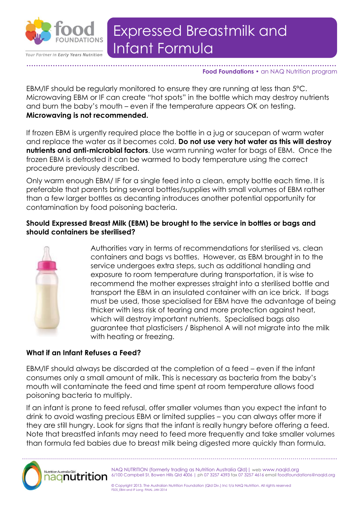

Your Partner in Early Years Nutrition

# Infant Formula Expressed Breastmilk and

#### **………………………………………………………………………………………………………………… Food Foundations •** an NAQ Nutrition program

EBM/IF should be regularly monitored to ensure they are running at less than 5°C. Microwaving EBM or IF can create "hot spots" in the bottle which may destroy nutrients and burn the baby's mouth – even if the temperature appears OK on testing. **Microwaving is not recommended.**

If frozen EBM is urgently required place the bottle in a jug or saucepan of warm water and replace the water as it becomes cold. **Do not use very hot water as this will destroy nutrients and anti-microbial factors**. Use warm running water for bags of EBM. Once the frozen EBM is defrosted it can be warmed to body temperature using the correct procedure previously described.

Only warm enough EBM/ IF for a single feed into a clean, empty bottle each time. It is preferable that parents bring several bottles/supplies with small volumes of EBM rather than a few larger bottles as decanting introduces another potential opportunity for contamination by food poisoning bacteria.

## **Should Expressed Breast Milk (EBM) be brought to the service in bottles or bags and should containers be sterilised?**



Authorities vary in terms of recommendations for sterilised vs. clean containers and bags vs bottles. However, as EBM brought in to the service undergoes extra steps, such as additional handling and exposure to room temperature during transportation, it is wise to recommend the mother expresses straight into a sterilised bottle and transport the EBM in an insulated container with an ice brick. If bags must be used, those specialised for EBM have the advantage of being thicker with less risk of tearing and more protection against heat, which will destroy important nutrients. Specialised bags also guarantee that plasticisers / Bisphenol A will not migrate into the milk with heating or freezing.

## **What if an Infant Refuses a Feed?**

EBM/IF should always be discarded at the completion of a feed – even if the infant consumes only a small amount of milk. This is necessary as bacteria from the baby's mouth will contaminate the feed and time spent at room temperature allows food poisoning bacteria to multiply.

If an infant is prone to feed refusal, offer smaller volumes than you expect the infant to drink to avoid wasting precious EBM or limited supplies – you can always offer more if they are still hungry. Look for signs that the infant is really hungry before offering a feed. Note that breastfed infants may need to feed more frequently and take smaller volumes than formula fed babies due to breast milk being digested more quickly than formula.

………………………………………………………………………………………………………………………………................



NAQ NUTRITION (formerly trading as Nutrition Australia Qld)| web www.naqld.org 6/100 Campbell St, Bowen Hills Qld 4006 | ph 07 3257 4393 fax 07 3257 4616 email foodfoundations@naqld.org